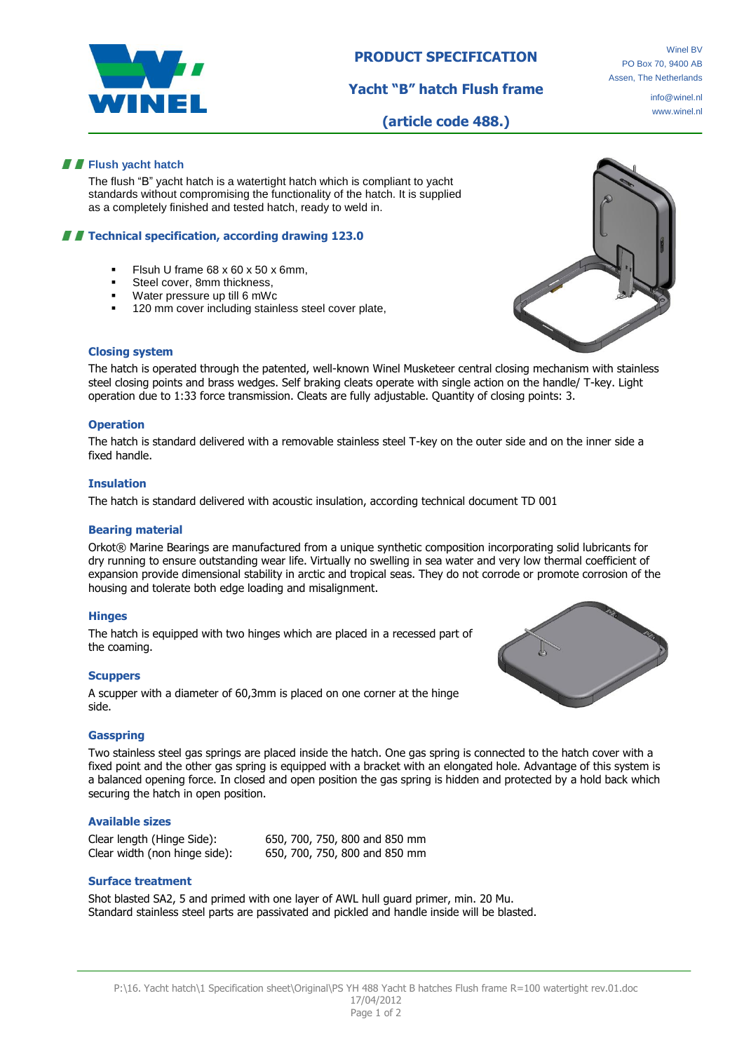

# **PRODUCT SPECIFICATION**

**Yacht "B" hatch Flush frame**

Winel BV PO Box 70, 9400 AB Assen, The Netherlands

> info@winel.nl www.winel.nl

**(article code 488.)**

## **Flush yacht hatch**

The flush "B" yacht hatch is a watertight hatch which is compliant to yacht standards without compromising the functionality of the hatch. It is supplied as a completely finished and tested hatch, ready to weld in.

## **TECHNICAL SPECIFICATION, ACCORDING MANVIOLET 123.0**

- Flsuh U frame 68 x 60 x 50 x 6mm,
- Steel cover, 8mm thickness,
- Water pressure up till 6 mWc
- 120 mm cover including stainless steel cover plate,



## **Closing system**

The hatch is operated through the patented, well-known Winel Musketeer central closing mechanism with stainless steel closing points and brass wedges. Self braking cleats operate with single action on the handle/ T-key. Light operation due to 1:33 force transmission. Cleats are fully adjustable. Quantity of closing points: 3.

#### **Operation**

The hatch is standard delivered with a removable stainless steel T-key on the outer side and on the inner side a fixed handle.

## **Insulation**

The hatch is standard delivered with acoustic insulation, according technical document TD 001

## **Bearing material**

Orkot® Marine Bearings are manufactured from a unique synthetic composition incorporating solid lubricants for dry running to ensure outstanding wear life. Virtually no swelling in sea water and very low thermal coefficient of expansion provide dimensional stability in arctic and tropical seas. They do not corrode or promote corrosion of the housing and tolerate both edge loading and misalignment.

#### **Hinges**

The hatch is equipped with two hinges which are placed in a recessed part of the coaming.

## **Scuppers**

A scupper with a diameter of 60,3mm is placed on one corner at the hinge side.



## **Gasspring**

Two stainless steel gas springs are placed inside the hatch. One gas spring is connected to the hatch cover with a fixed point and the other gas spring is equipped with a bracket with an elongated hole. Advantage of this system is a balanced opening force. In closed and open position the gas spring is hidden and protected by a hold back which securing the hatch in open position.

## **Available sizes**

| Clear length (Hinge Side):    | 650, 700, 750, 800 and 850 mm |
|-------------------------------|-------------------------------|
| Clear width (non hinge side): | 650, 700, 750, 800 and 850 mm |

## **Surface treatment**

Shot blasted SA2, 5 and primed with one layer of AWL hull guard primer, min. 20 Mu. Standard stainless steel parts are passivated and pickled and handle inside will be blasted.